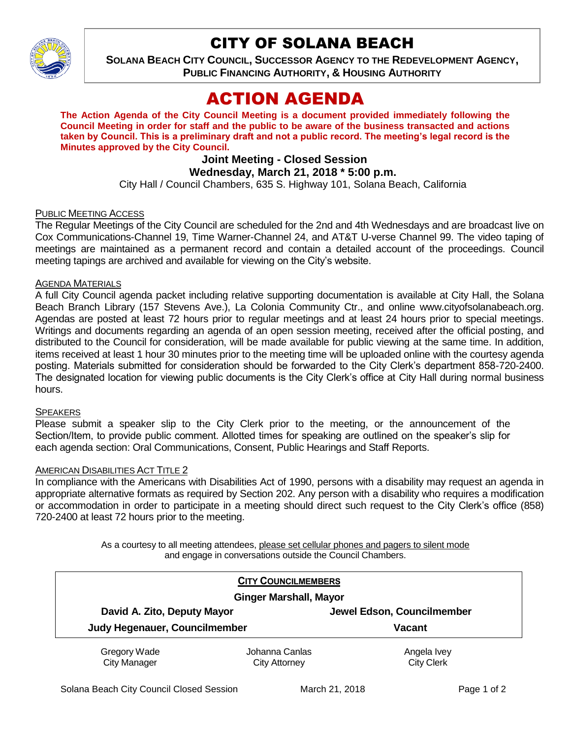

# CITY OF SOLANA BEACH

**SOLANA BEACH CITY COUNCIL, SUCCESSOR AGENCY TO THE REDEVELOPMENT AGENCY, PUBLIC FINANCING AUTHORITY, & HOUSING AUTHORITY** 

# ACTION AGENDA

**The Action Agenda of the City Council Meeting is a document provided immediately following the Council Meeting in order for staff and the public to be aware of the business transacted and actions taken by Council. This is a preliminary draft and not a public record. The meeting's legal record is the Minutes approved by the City Council.**

# **Joint Meeting - Closed Session**

## **Wednesday, March 21, 2018 \* 5:00 p.m.**

City Hall / Council Chambers, 635 S. Highway 101, Solana Beach, California

### PUBLIC MEETING ACCESS

The Regular Meetings of the City Council are scheduled for the 2nd and 4th Wednesdays and are broadcast live on Cox Communications-Channel 19, Time Warner-Channel 24, and AT&T U-verse Channel 99. The video taping of meetings are maintained as a permanent record and contain a detailed account of the proceedings. Council meeting tapings are archived and available for viewing on the City's website.

#### AGENDA MATERIALS

A full City Council agenda packet including relative supporting documentation is available at City Hall, the Solana Beach Branch Library (157 Stevens Ave.), La Colonia Community Ctr., and online www.cityofsolanabeach.org. Agendas are posted at least 72 hours prior to regular meetings and at least 24 hours prior to special meetings. Writings and documents regarding an agenda of an open session meeting, received after the official posting, and distributed to the Council for consideration, will be made available for public viewing at the same time. In addition, items received at least 1 hour 30 minutes prior to the meeting time will be uploaded online with the courtesy agenda posting. Materials submitted for consideration should be forwarded to the City Clerk's department 858-720-2400. The designated location for viewing public documents is the City Clerk's office at City Hall during normal business hours.

### **SPEAKERS**

Please submit a speaker slip to the City Clerk prior to the meeting, or the announcement of the Section/Item, to provide public comment. Allotted times for speaking are outlined on the speaker's slip for each agenda section: Oral Communications, Consent, Public Hearings and Staff Reports.

### AMERICAN DISABILITIES ACT TITLE 2

In compliance with the Americans with Disabilities Act of 1990, persons with a disability may request an agenda in appropriate alternative formats as required by Section 202. Any person with a disability who requires a modification or accommodation in order to participate in a meeting should direct such request to the City Clerk's office (858) 720-2400 at least 72 hours prior to the meeting.

> As a courtesy to all meeting attendees, please set cellular phones and pagers to silent mode and engage in conversations outside the Council Chambers.

|                                                              | <b>CITY COUNCILMEMBERS</b>             |                                  |  |
|--------------------------------------------------------------|----------------------------------------|----------------------------------|--|
| <b>Ginger Marshall, Mayor</b>                                |                                        |                                  |  |
| David A. Zito, Deputy Mayor<br>Judy Hegenauer, Councilmember |                                        | Jewel Edson, Councilmember       |  |
|                                                              |                                        | <b>Vacant</b>                    |  |
| Gregory Wade<br><b>City Manager</b>                          | Johanna Canlas<br><b>City Attorney</b> | Angela Ivey<br><b>City Clerk</b> |  |